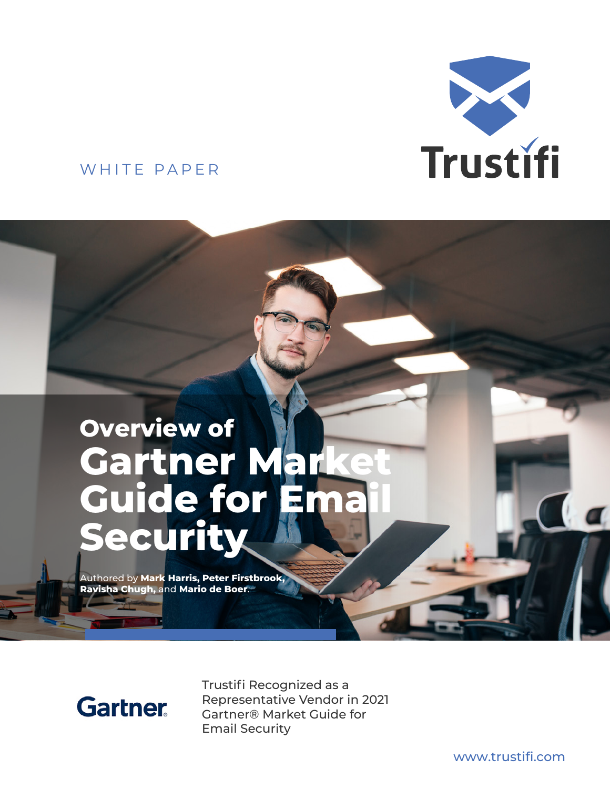

### WHITE PAPER

# **Overview of Gartner Market Guide for Email Security**

Authored by **[Mark Harris,](https://www.gartner.com/analyst/89431) [Peter Firstbrook](https://www.gartner.com/analyst/25610), [Ravisha Chugh,](https://www.gartner.com/analyst/92438)** and **[Mario de Boer](https://www.gartner.com/analyst/39432)**.



Trustifi Recognized as a Representative Vendor in 2021 Gartner® Market Guide for Email Security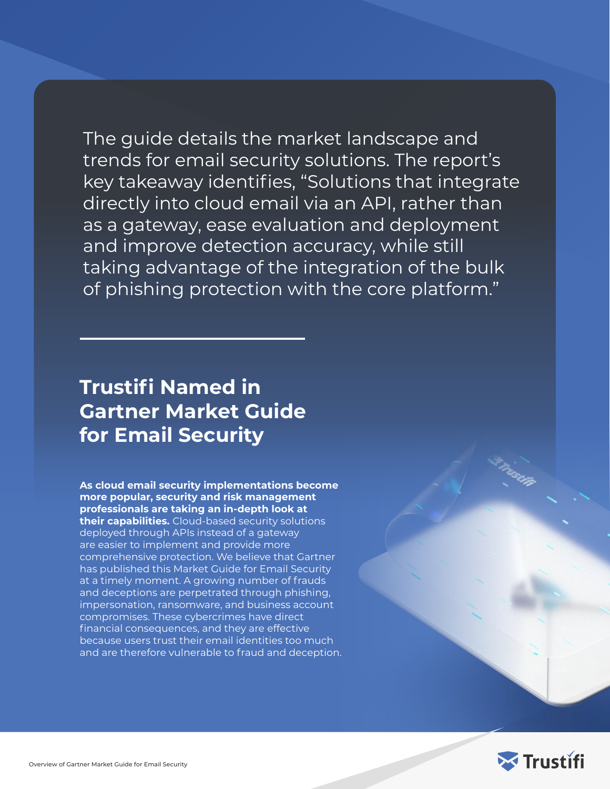The guide details the market landscape and trends for email security solutions. The report's key takeaway identifies, "Solutions that integrate directly into cloud email via an API, rather than as a gateway, ease evaluation and deployment and improve detection accuracy, while still taking advantage of the integration of the bulk of phishing protection with the core platform."

# **Trustifi Named in Gartner Market Guide for Email Security**

**As cloud email security implementations become more popular, security and risk management professionals are taking an in-depth look at their capabilities.** Cloud-based security solutions deployed through APIs instead of a gateway are easier to implement and provide more comprehensive protection. We believe that Gartner has published this Market Guide for Email Security at a timely moment. A growing number of frauds and deceptions are perpetrated through phishing, impersonation, ransomware, and business account compromises. These cybercrimes have direct financial consequences, and they are effective because users trust their email identities too much and are therefore vulnerable to fraud and deception.

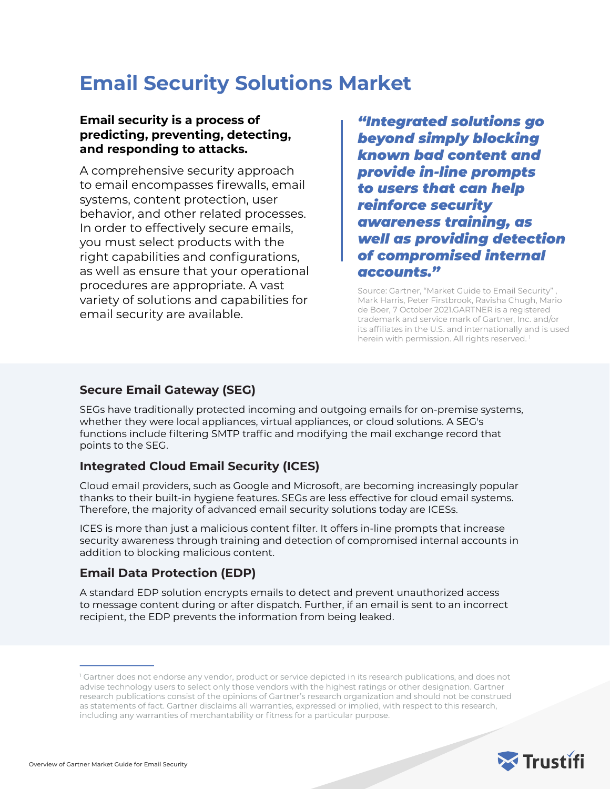### **Email Security Solutions Market**

#### **Email security is a process of predicting, preventing, detecting, and responding to attacks.**

A comprehensive security approach to email encompasses firewalls, email systems, content protection, user behavior, and other related processes. In order to effectively secure emails, you must select products with the right capabilities and configurations, as well as ensure that your operational procedures are appropriate. A vast variety of solutions and capabilities for email security are available.

*"Integrated solutions go beyond simply blocking known bad content and provide in-line prompts to users that can help reinforce security awareness training, as well as providing detection of compromised internal accounts."*

Source: Gartner, "Market Guide to Email Security" , Mark Harris, Peter Firstbrook, Ravisha Chugh, Mario de Boer, 7 October 2021.GARTNER is a registered trademark and service mark of Gartner, Inc. and/or its affiliates in the U.S. and internationally and is used herein with permission. All rights reserved.<sup>1</sup>

#### **Secure Email Gateway (SEG)**

SEGs have traditionally protected incoming and outgoing emails for on-premise systems, whether they were local appliances, virtual appliances, or cloud solutions. A SEG's functions include filtering SMTP traffic and modifying the mail exchange record that points to the SEG.

### **Integrated Cloud Email Security (ICES)**

Cloud email providers, such as Google and Microsoft, are becoming increasingly popular thanks to their built-in hygiene features. SEGs are less effective for cloud email systems. Therefore, the majority of advanced email security solutions today are ICESs.

ICES is more than just a malicious content filter. It offers in-line prompts that increase security awareness through training and detection of compromised internal accounts in addition to blocking malicious content.

### **Email Data Protection (EDP)**

A standard EDP solution encrypts emails to detect and prevent unauthorized access to message content during or after dispatch. Further, if an email is sent to an incorrect recipient, the EDP prevents the information from being leaked.

<sup>&</sup>lt;sup>1</sup> Gartner does not endorse any vendor, product or service depicted in its research publications, and does not advise technology users to select only those vendors with the highest ratings or other designation. Gartner research publications consist of the opinions of Gartner's research organization and should not be construed as statements of fact. Gartner disclaims all warranties, expressed or implied, with respect to this research, including any warranties of merchantability or fitness for a particular purpose.

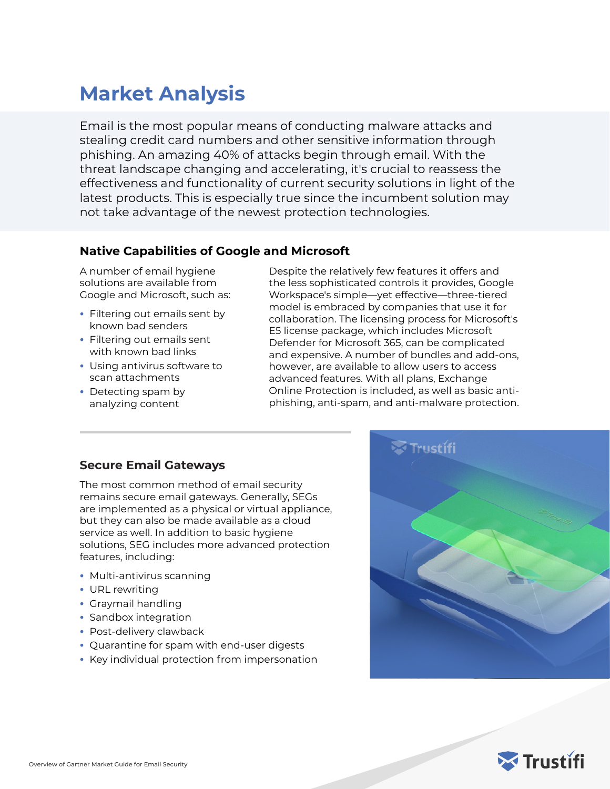# **Market Analysis**

Email is the most popular means of conducting malware attacks and stealing credit card numbers and other sensitive information through phishing. An amazing 40% of attacks begin through email. With the threat landscape changing and accelerating, it's crucial to reassess the effectiveness and functionality of current security solutions in light of the latest products. This is especially true since the incumbent solution may not take advantage of the newest protection technologies.

#### **Native Capabilities of Google and Microsoft**

A number of email hygiene solutions are available from Google and Microsoft, such as:

- **•** Filtering out emails sent by known bad senders
- **•** Filtering out emails sent with known bad links
- **•** Using antivirus software to scan attachments
- **•** Detecting spam by analyzing content

Despite the relatively few features it offers and the less sophisticated controls it provides, Google Workspace's simple—yet effective—three-tiered model is embraced by companies that use it for collaboration. The licensing process for Microsoft's E5 license package, which includes Microsoft Defender for Microsoft 365, can be complicated and expensive. A number of bundles and add-ons, however, are available to allow users to access advanced features. With all plans, Exchange Online Protection is included, as well as basic antiphishing, anti-spam, and anti-malware protection.

#### **Secure Email Gateways**

The most common method of email security remains secure email gateways. Generally, SEGs are implemented as a physical or virtual appliance, but they can also be made available as a cloud service as well. In addition to basic hygiene solutions, SEG includes more advanced protection features, including:

- **•** Multi-antivirus scanning
- **•** URL rewriting
- **•** Graymail handling
- **•** Sandbox integration
- **•** Post-delivery clawback
- **•** Quarantine for spam with end-user digests
- **•** Key individual protection from impersonation



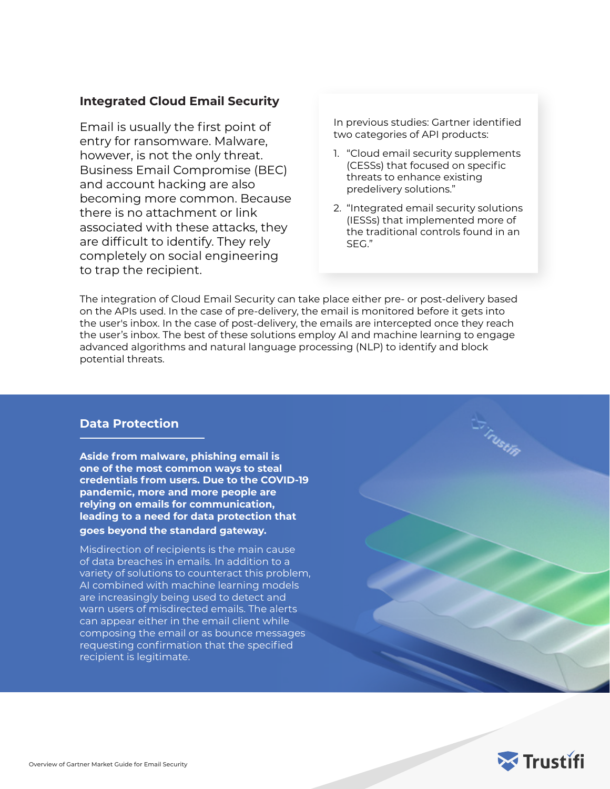#### **Integrated Cloud Email Security**

Email is usually the first point of entry for ransomware. Malware, however, is not the only threat. Business Email Compromise (BEC) and account hacking are also becoming more common. Because there is no attachment or link associated with these attacks, they are difficult to identify. They rely completely on social engineering to trap the recipient.

In previous studies: Gartner identified two categories of API products:

- 1. "Cloud email security supplements (CESSs) that focused on specific threats to enhance existing predelivery solutions."
- 2. "Integrated email security solutions (IESSs) that implemented more of the traditional controls found in an SEG."

The integration of Cloud Email Security can take place either pre- or post-delivery based on the APIs used. In the case of pre-delivery, the email is monitored before it gets into the user's inbox. In the case of post-delivery, the emails are intercepted once they reach the user's inbox. The best of these solutions employ AI and machine learning to engage advanced algorithms and natural language processing (NLP) to identify and block potential threats.

#### **Data Protection**

**Aside from malware, phishing email is one of the most common ways to steal credentials from users. Due to the COVID-19 pandemic, more and more people are relying on emails for communication, leading to a need for data protection that goes beyond the standard gateway.** 

Misdirection of recipients is the main cause of data breaches in emails. In addition to a variety of solutions to counteract this problem, AI combined with machine learning models are increasingly being used to detect and warn users of misdirected emails. The alerts can appear either in the email client while composing the email or as bounce messages requesting confirmation that the specified recipient is legitimate.



S. Inverin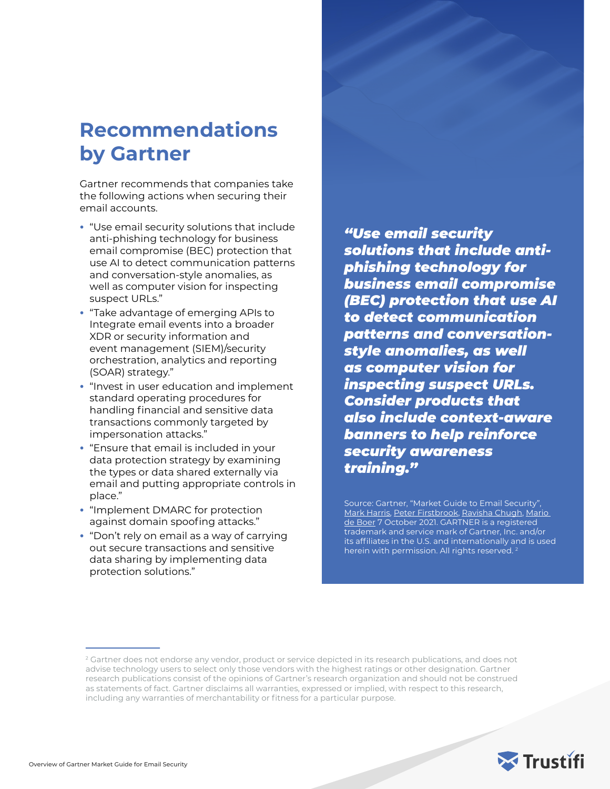# **Recommendations by Gartner**

Gartner recommends that companies take the following actions when securing their email accounts.

- **•** "Use email security solutions that include anti-phishing technology for business email compromise (BEC) protection that use AI to detect communication patterns and conversation-style anomalies, as well as computer vision for inspecting suspect URLs."
- **•** "Take advantage of emerging APIs to Integrate email events into a broader XDR or security information and event management (SIEM)/security orchestration, analytics and reporting (SOAR) strategy."
- **•** "Invest in user education and implement standard operating procedures for handling financial and sensitive data transactions commonly targeted by impersonation attacks."
- **•** "Ensure that email is included in your data protection strategy by examining the types or data shared externally via email and putting appropriate controls in place."
- **•** "Implement DMARC for protection against domain spoofing attacks."
- **•** "Don't rely on email as a way of carrying out secure transactions and sensitive data sharing by implementing data protection solutions."

*"Use email security solutions that include antiphishing technology for business email compromise (BEC) protection that use AI to detect communication patterns and conversationstyle anomalies, as well as computer vision for inspecting suspect URLs. Consider products that also include context-aware banners to help reinforce security awareness training."*

Source: Gartner, "Market Guide to Email Security", [Mark Harris,](https://www.gartner.com/analyst/89431) [Peter Firstbrook](https://www.gartner.com/analyst/25610), [Ravisha Chugh](https://www.gartner.com/analyst/92438), [Mario](https://www.gartner.com/analyst/39432)  [de Boer](https://www.gartner.com/analyst/39432) 7 October 2021. GARTNER is a registered trademark and service mark of Gartner, Inc. and/or its affiliates in the U.S. and internationally and is used herein with permission. All rights reserved. 2



<sup>&</sup>lt;sup>2</sup> Gartner does not endorse any vendor, product or service depicted in its research publications, and does not advise technology users to select only those vendors with the highest ratings or other designation. Gartner research publications consist of the opinions of Gartner's research organization and should not be construed as statements of fact. Gartner disclaims all warranties, expressed or implied, with respect to this research, including any warranties of merchantability or fitness for a particular purpose.